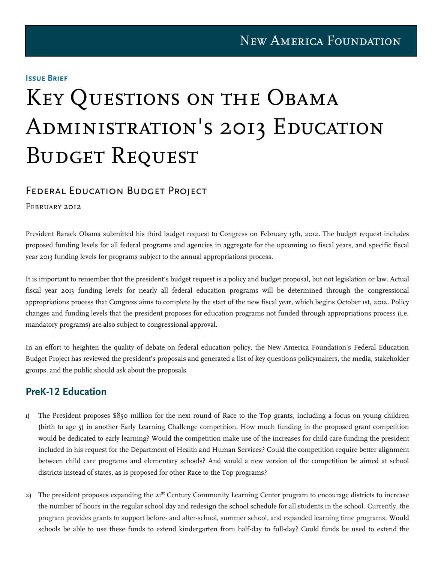#### Issue Brief

# Key Questions on the Obama Administration's 2013 Education BUDGET REQUEST

## Federal Education Budget Project

 $A_{\rm eff}$  and  $A_{\rm eff}$   $A_{\rm eff}$  and  $A_{\rm eff}$ 

#### FEBRUARY 2012

President Barack Obama submitted his third budget request to Congress on February 13th, 2012. The budget request includes proposed funding levels for all federal programs and agencies in aggregate for the upcoming 10 fiscal years, and specific fiscal year 2013 funding levels for programs subject to the annual appropriations process.

It is important to remember that the president's budget request is a policy and budget proposal, but not legislation or law. Actual fiscal year 2013 funding levels for nearly all federal education programs will be determined through the congressional appropriations process that Congress aims to complete by the start of the new fiscal year, which begins October 1st, 2012. Policy changes and funding levels that the president proposes for education programs not funded through appropriations process (i.e. mandatory programs) are also subject to congressional approval.

In an effort to heighten the quality of debate on federal education policy, the New America Foundation's Federal Education Budget Project has reviewed the president's proposals and generated a list of key questions policymakers, the media, stakeholder groups, and the public should ask about the proposals.

## **PreK-12 Education**

- 1) The President proposes \$850 million for the next round of Race to the Top grants, including a focus on young children (birth to age 5) in another Early Learning Challenge competition. How much funding in the proposed grant competition would be dedicated to early learning? Would the competition make use of the increases for child care funding the president included in his request for the Department of Health and Human Services? Could the competition require better alignment between child care programs and elementary schools? And would a new version of the competition be aimed at school districts instead of states, as is proposed for other Race to the Top programs?
- 2) The president proposes expanding the 21<sup>st</sup> Century Community Learning Center program to encourage districts to increase the number of hours in the regular school day and redesign the school schedule for all students in the school. Currently, the program provides grants to support before- and after-school, summer school, and expanded learning time programs. Would schools be able to use these funds to extend kindergarten from half-day to full-day? Could funds be used to extend the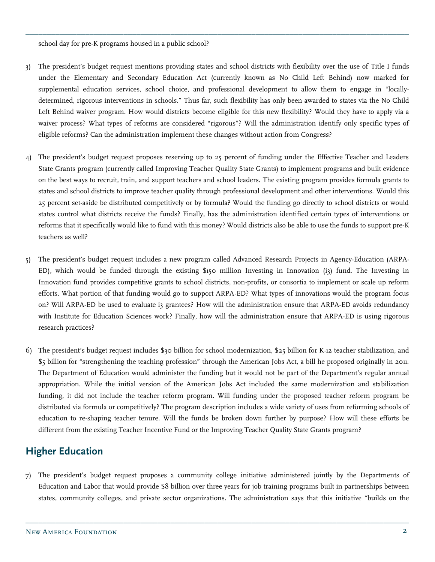school day for pre-K programs housed in a public school?

3) The president's budget request mentions providing states and school districts with flexibility over the use of Title I funds under the Elementary and Secondary Education Act (currently known as No Child Left Behind) now marked for supplemental education services, school choice, and professional development to allow them to engage in "locallydetermined, rigorous interventions in schools." Thus far, such flexibility has only been awarded to states via the No Child Left Behind waiver program. How would districts become eligible for this new flexibility? Would they have to apply via a waiver process? What types of reforms are considered "rigorous"? Will the administration identify only specific types of eligible reforms? Can the administration implement these changes without action from Congress?

\_\_\_\_\_\_\_\_\_\_\_\_\_\_\_\_\_\_\_\_\_\_\_\_\_\_\_\_\_\_\_\_\_\_\_\_\_\_\_\_\_\_\_\_\_\_\_\_\_\_\_\_\_\_\_\_\_\_\_\_\_\_\_\_\_\_\_\_\_\_\_\_\_\_\_\_\_\_\_\_\_\_\_\_\_\_\_\_\_\_

- 4) The president's budget request proposes reserving up to 25 percent of funding under the Effective Teacher and Leaders State Grants program (currently called Improving Teacher Quality State Grants) to implement programs and built evidence on the best ways to recruit, train, and support teachers and school leaders. The existing program provides formula grants to states and school districts to improve teacher quality through professional development and other interventions. Would this 25 percent set-aside be distributed competitively or by formula? Would the funding go directly to school districts or would states control what districts receive the funds? Finally, has the administration identified certain types of interventions or reforms that it specifically would like to fund with this money? Would districts also be able to use the funds to support pre-K teachers as well?
- 5) The president's budget request includes a new program called Advanced Research Projects in Agency-Education (ARPA-ED), which would be funded through the existing \$150 million Investing in Innovation (i3) fund. The Investing in Innovation fund provides competitive grants to school districts, non-profits, or consortia to implement or scale up reform efforts. What portion of that funding would go to support ARPA-ED? What types of innovations would the program focus on? Will ARPA-ED be used to evaluate i3 grantees? How will the administration ensure that ARPA-ED avoids redundancy with Institute for Education Sciences work? Finally, how will the administration ensure that ARPA-ED is using rigorous research practices?
- 6) The president's budget request includes \$30 billion for school modernization, \$25 billion for K-12 teacher stabilization, and \$5 billion for "strengthening the teaching profession" through the American Jobs Act, a bill he proposed originally in 2011. The Department of Education would administer the funding but it would not be part of the Department's regular annual appropriation. While the initial version of the American Jobs Act included the same modernization and stabilization funding, it did not include the teacher reform program. Will funding under the proposed teacher reform program be distributed via formula or competitively? The program description includes a wide variety of uses from reforming schools of education to re-shaping teacher tenure. Will the funds be broken down further by purpose? How will these efforts be different from the existing Teacher Incentive Fund or the Improving Teacher Quality State Grants program?

# **Higher Education**

7) The president's budget request proposes a community college initiative administered jointly by the Departments of Education and Labor that would provide \$8 billion over three years for job training programs built in partnerships between states, community colleges, and private sector organizations. The administration says that this initiative "builds on the

\_\_\_\_\_\_\_\_\_\_\_\_\_\_\_\_\_\_\_\_\_\_\_\_\_\_\_\_\_\_\_\_\_\_\_\_\_\_\_\_\_\_\_\_\_\_\_\_\_\_\_\_\_\_\_\_\_\_\_\_\_\_\_\_\_\_\_\_\_\_\_\_\_\_\_\_\_\_\_\_\_\_\_\_\_\_\_\_\_\_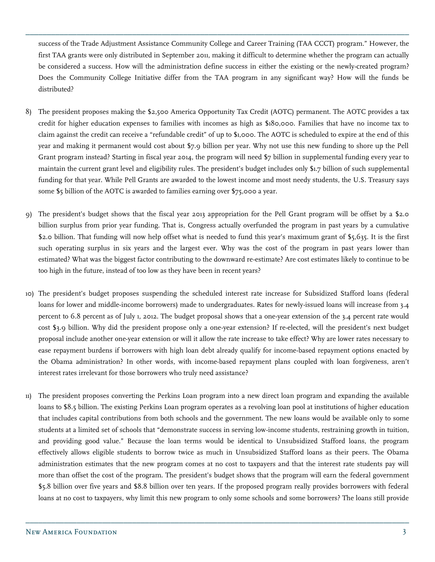success of the Trade Adjustment Assistance Community College and Career Training (TAA CCCT) program." However, the first TAA grants were only distributed in September 2011, making it difficult to determine whether the program can actually be considered a success. How will the administration define success in either the existing or the newly-created program? Does the Community College Initiative differ from the TAA program in any significant way? How will the funds be distributed?

\_\_\_\_\_\_\_\_\_\_\_\_\_\_\_\_\_\_\_\_\_\_\_\_\_\_\_\_\_\_\_\_\_\_\_\_\_\_\_\_\_\_\_\_\_\_\_\_\_\_\_\_\_\_\_\_\_\_\_\_\_\_\_\_\_\_\_\_\_\_\_\_\_\_\_\_\_\_\_\_\_\_\_\_\_\_\_\_\_\_

- 8) The president proposes making the \$2,500 America Opportunity Tax Credit (AOTC) permanent. The AOTC provides a tax credit for higher education expenses to families with incomes as high as \$180,000. Families that have no income tax to claim against the credit can receive a "refundable credit" of up to \$1,000. The AOTC is scheduled to expire at the end of this year and making it permanent would cost about \$7.9 billion per year. Why not use this new funding to shore up the Pell Grant program instead? Starting in fiscal year 2014, the program will need \$7 billion in supplemental funding every year to maintain the current grant level and eligibility rules. The president's budget includes only \$1.7 billion of such supplemental funding for that year. While Pell Grants are awarded to the lowest income and most needy students, the U.S. Treasury says some \$5 billion of the AOTC is awarded to families earning over \$75,000 a year.
- 9) The president's budget shows that the fiscal year 2013 appropriation for the Pell Grant program will be offset by a \$2.0 billion surplus from prior year funding. That is, Congress actually overfunded the program in past years by a cumulative \$2.0 billion. That funding will now help offset what is needed to fund this year's maximum grant of \$5,635. It is the first such operating surplus in six years and the largest ever. Why was the cost of the program in past years lower than estimated? What was the biggest factor contributing to the downward re-estimate? Are cost estimates likely to continue to be too high in the future, instead of too low as they have been in recent years?
- 10) The president's budget proposes suspending the scheduled interest rate increase for Subsidized Stafford loans (federal loans for lower and middle-income borrowers) made to undergraduates. Rates for newly-issued loans will increase from 3.4 percent to 6.8 percent as of July 1, 2012. The budget proposal shows that a one-year extension of the 3.4 percent rate would cost \$3.9 billion. Why did the president propose only a one-year extension? If re-elected, will the president's next budget proposal include another one-year extension or will it allow the rate increase to take effect? Why are lower rates necessary to ease repayment burdens if borrowers with high loan debt already qualify for income-based repayment options enacted by the Obama administration? In other words, with income-based repayment plans coupled with loan forgiveness, aren't interest rates irrelevant for those borrowers who truly need assistance?
- 11) The president proposes converting the Perkins Loan program into a new direct loan program and expanding the available loans to \$8.5 billion. The existing Perkins Loan program operates as a revolving loan pool at institutions of higher education that includes capital contributions from both schools and the government. The new loans would be available only to some students at a limited set of schools that "demonstrate success in serving low-income students, restraining growth in tuition, and providing good value." Because the loan terms would be identical to Unsubsidized Stafford loans, the program effectively allows eligible students to borrow twice as much in Unsubsidized Stafford loans as their peers. The Obama administration estimates that the new program comes at no cost to taxpayers and that the interest rate students pay will more than offset the cost of the program. The president's budget shows that the program will earn the federal government \$5.8 billion over five years and \$8.8 billion over ten years. If the proposed program really provides borrowers with federal loans at no cost to taxpayers, why limit this new program to only some schools and some borrowers? The loans still provide

\_\_\_\_\_\_\_\_\_\_\_\_\_\_\_\_\_\_\_\_\_\_\_\_\_\_\_\_\_\_\_\_\_\_\_\_\_\_\_\_\_\_\_\_\_\_\_\_\_\_\_\_\_\_\_\_\_\_\_\_\_\_\_\_\_\_\_\_\_\_\_\_\_\_\_\_\_\_\_\_\_\_\_\_\_\_\_\_\_\_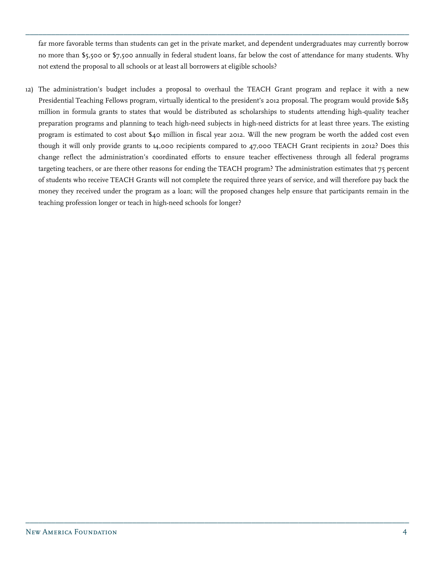far more favorable terms than students can get in the private market, and dependent undergraduates may currently borrow no more than \$5,500 or \$7,500 annually in federal student loans, far below the cost of attendance for many students. Why not extend the proposal to all schools or at least all borrowers at eligible schools?

\_\_\_\_\_\_\_\_\_\_\_\_\_\_\_\_\_\_\_\_\_\_\_\_\_\_\_\_\_\_\_\_\_\_\_\_\_\_\_\_\_\_\_\_\_\_\_\_\_\_\_\_\_\_\_\_\_\_\_\_\_\_\_\_\_\_\_\_\_\_\_\_\_\_\_\_\_\_\_\_\_\_\_\_\_\_\_\_\_\_

12) The administration's budget includes a proposal to overhaul the TEACH Grant program and replace it with a new Presidential Teaching Fellows program, virtually identical to the president's 2012 proposal. The program would provide \$185 million in formula grants to states that would be distributed as scholarships to students attending high-quality teacher preparation programs and planning to teach high-need subjects in high-need districts for at least three years. The existing program is estimated to cost about \$40 million in fiscal year 2012. Will the new program be worth the added cost even though it will only provide grants to 14,000 recipients compared to 47,000 TEACH Grant recipients in 2012? Does this change reflect the administration's coordinated efforts to ensure teacher effectiveness through all federal programs targeting teachers, or are there other reasons for ending the TEACH program? The administration estimates that 75 percent of students who receive TEACH Grants will not complete the required three years of service, and will therefore pay back the money they received under the program as a loan; will the proposed changes help ensure that participants remain in the teaching profession longer or teach in high-need schools for longer?

\_\_\_\_\_\_\_\_\_\_\_\_\_\_\_\_\_\_\_\_\_\_\_\_\_\_\_\_\_\_\_\_\_\_\_\_\_\_\_\_\_\_\_\_\_\_\_\_\_\_\_\_\_\_\_\_\_\_\_\_\_\_\_\_\_\_\_\_\_\_\_\_\_\_\_\_\_\_\_\_\_\_\_\_\_\_\_\_\_\_